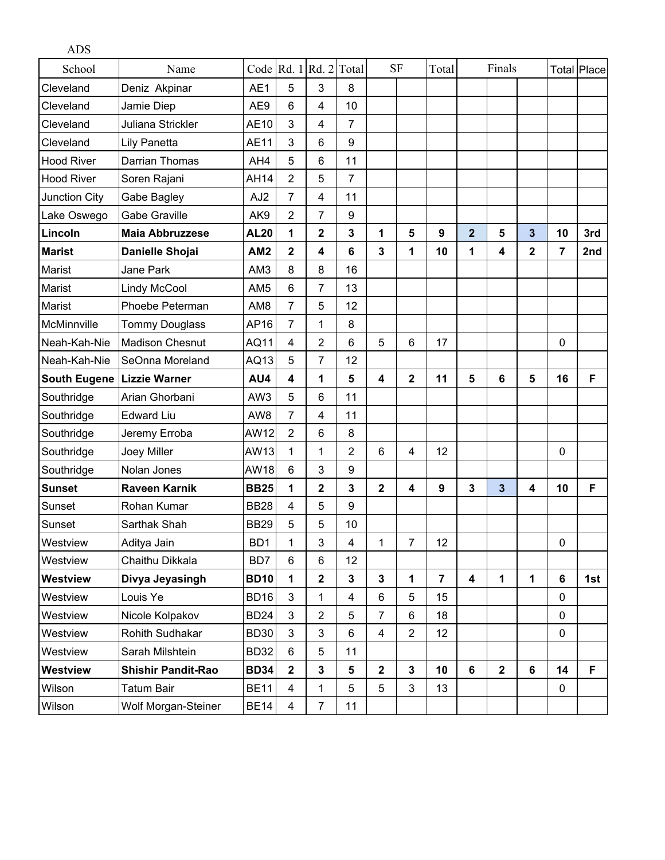| <b>ADS</b>          |                           |                 |                         |                         |                 |                |                |                |                |                         |                         |                         |                    |
|---------------------|---------------------------|-----------------|-------------------------|-------------------------|-----------------|----------------|----------------|----------------|----------------|-------------------------|-------------------------|-------------------------|--------------------|
| School              | Name                      |                 |                         | Code Rd. 1 Rd. 2        | Total           |                | <b>SF</b>      | Total          |                | Finals                  |                         |                         | <b>Total Place</b> |
| Cleveland           | Deniz Akpinar             | AE1             | 5                       | 3                       | 8               |                |                |                |                |                         |                         |                         |                    |
| Cleveland           | Jamie Diep                | AE9             | 6                       | 4                       | 10              |                |                |                |                |                         |                         |                         |                    |
| Cleveland           | Juliana Strickler         | <b>AE10</b>     | 3                       | 4                       | $\overline{7}$  |                |                |                |                |                         |                         |                         |                    |
| Cleveland           | Lily Panetta              | <b>AE11</b>     | 3                       | 6                       | 9               |                |                |                |                |                         |                         |                         |                    |
| <b>Hood River</b>   | Darrian Thomas            | AH4             | 5                       | 6                       | 11              |                |                |                |                |                         |                         |                         |                    |
| <b>Hood River</b>   | Soren Rajani              | <b>AH14</b>     | $\overline{2}$          | 5                       | $\overline{7}$  |                |                |                |                |                         |                         |                         |                    |
| Junction City       | Gabe Bagley               | AJ <sub>2</sub> | $\overline{7}$          | 4                       | 11              |                |                |                |                |                         |                         |                         |                    |
| Lake Oswego         | <b>Gabe Graville</b>      | AK9             | $\overline{2}$          | 7                       | 9               |                |                |                |                |                         |                         |                         |                    |
| Lincoln             | <b>Maia Abbruzzese</b>    | <b>AL20</b>     | 1                       | $\mathbf 2$             | 3               | 1              | 5              | 9              | $\overline{2}$ | 5                       | $\overline{\mathbf{3}}$ | 10                      | 3rd                |
| <b>Marist</b>       | Danielle Shojai           | AM <sub>2</sub> | $\mathbf{2}$            | 4                       | 6               | 3              | 1              | 10             | 1              | 4                       | 2                       | $\overline{\mathbf{7}}$ | 2nd                |
| Marist              | Jane Park                 | AM <sub>3</sub> | 8                       | 8                       | 16              |                |                |                |                |                         |                         |                         |                    |
| Marist              | <b>Lindy McCool</b>       | AM <sub>5</sub> | 6                       | $\overline{7}$          | 13              |                |                |                |                |                         |                         |                         |                    |
| Marist              | Phoebe Peterman           | AM <sub>8</sub> | $\overline{7}$          | 5                       | 12              |                |                |                |                |                         |                         |                         |                    |
| McMinnville         | <b>Tommy Douglass</b>     | AP16            | $\overline{7}$          | 1                       | 8               |                |                |                |                |                         |                         |                         |                    |
| Neah-Kah-Nie        | <b>Madison Chesnut</b>    | AQ11            | 4                       | $\overline{2}$          | 6               | 5              | 6              | 17             |                |                         |                         | $\mathbf{0}$            |                    |
| Neah-Kah-Nie        | SeOnna Moreland           | AQ13            | 5                       | $\overline{7}$          | 12              |                |                |                |                |                         |                         |                         |                    |
| <b>South Eugene</b> | <b>Lizzie Warner</b>      | AU4             | 4                       | 1                       | 5               | 4              | $\overline{2}$ | 11             | 5              | 6                       | 5                       | 16                      | F                  |
| Southridge          | Arian Ghorbani            | AW3             | 5                       | 6                       | 11              |                |                |                |                |                         |                         |                         |                    |
| Southridge          | <b>Edward Liu</b>         | AW8             | 7                       | 4                       | 11              |                |                |                |                |                         |                         |                         |                    |
| Southridge          | Jeremy Erroba             | <b>AW12</b>     | $\overline{2}$          | 6                       | 8               |                |                |                |                |                         |                         |                         |                    |
| Southridge          | Joey Miller               | AW13            | 1                       | 1                       | $\overline{2}$  | 6              | $\overline{4}$ | 12             |                |                         |                         | $\mathbf 0$             |                    |
| Southridge          | Nolan Jones               | <b>AW18</b>     | 6                       | 3                       | 9               |                |                |                |                |                         |                         |                         |                    |
| <b>Sunset</b>       | <b>Raveen Karnik</b>      | <b>BB25</b>     | 1                       | $\mathbf 2$             | 3               | $\mathbf 2$    | 4              | 9              | 3              | $\mathbf{3}$            | 4                       | 10                      | F                  |
| Sunset              | Rohan Kumar               | <b>BB28</b>     | 4                       | 5                       | 9               |                |                |                |                |                         |                         |                         |                    |
| Sunset              | Sarthak Shah              | <b>BB29</b>     | 5                       | 5                       | 10              |                |                |                |                |                         |                         |                         |                    |
| Westview            | Aditya Jain               | BD <sub>1</sub> | 1                       | 3                       | $\overline{4}$  | 1              | $\overline{7}$ | 12             |                |                         |                         | $\mathbf 0$             |                    |
| Westview            | Chaithu Dikkala           | BD7             | 6                       | 6                       | 12 <sub>2</sub> |                |                |                |                |                         |                         |                         |                    |
| <b>Westview</b>     | Divya Jeyasingh           | <b>BD10</b>     | $\mathbf 1$             | $\overline{\mathbf{2}}$ | $\mathbf{3}$    | 3              | 1              | $\overline{7}$ | 4              | 1                       | 1                       | 6                       | 1st                |
| Westview            | Louis Ye                  | <b>BD16</b>     | $\mathbf{3}$            | 1                       | 4               | 6              | 5              | 15             |                |                         |                         | $\mathbf{0}$            |                    |
| Westview            | Nicole Kolpakov           | <b>BD24</b>     | $\mathfrak{S}$          | $\overline{2}$          | 5               | $\overline{7}$ | 6              | 18             |                |                         |                         | $\mathbf 0$             |                    |
| Westview            | Rohith Sudhakar           | <b>BD30</b>     | 3                       | 3                       | 6               | $\overline{4}$ | $\overline{2}$ | 12             |                |                         |                         | $\mathbf 0$             |                    |
| Westview            | Sarah Milshtein           | <b>BD32</b>     | 6                       | 5                       | 11              |                |                |                |                |                         |                         |                         |                    |
| <b>Westview</b>     | <b>Shishir Pandit-Rao</b> | <b>BD34</b>     | $\overline{\mathbf{2}}$ | 3                       | 5               | $\mathbf{2}$   | 3              | 10             | 6              | $\overline{\mathbf{2}}$ | 6                       | 14                      | F.                 |
| Wilson              | <b>Tatum Bair</b>         | <b>BE11</b>     | $\overline{\mathbf{4}}$ | $\mathbf{1}$            | 5               | 5              | 3              | 13             |                |                         |                         | $\mathbf 0$             |                    |
| Wilson              | Wolf Morgan-Steiner       | <b>BE14</b>     | $\overline{\mathbf{4}}$ | $\overline{7}$          | 11              |                |                |                |                |                         |                         |                         |                    |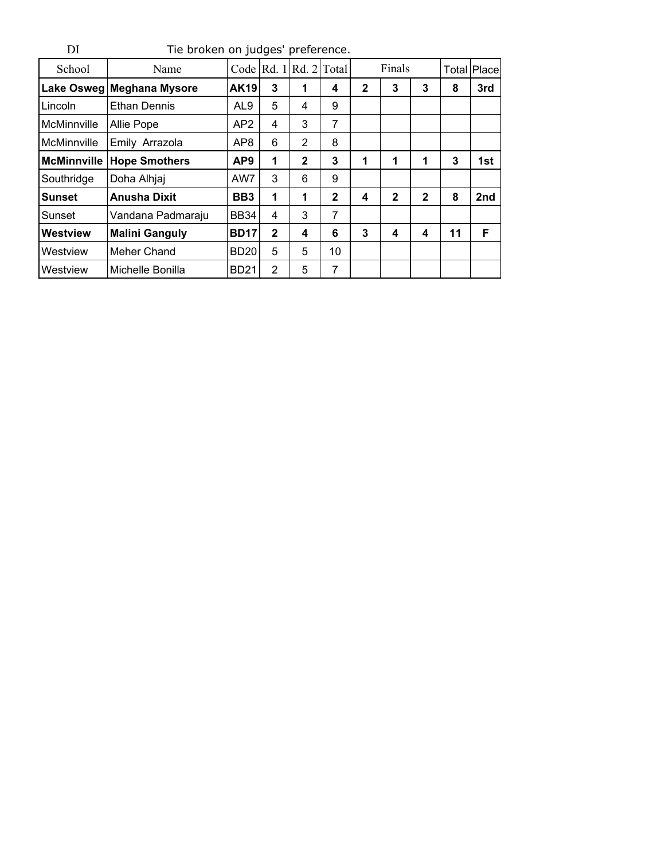| DI                 | Tie broken on judges' preference. |                 |              |                        |              |              |              |              |    |                    |
|--------------------|-----------------------------------|-----------------|--------------|------------------------|--------------|--------------|--------------|--------------|----|--------------------|
| School             | Name                              |                 |              | Code Rd. 1 Rd. 2 Total |              |              | Finals       |              |    | <b>Total Place</b> |
|                    | Lake Osweg Meghana Mysore         | <b>AK19</b>     | 3            | 1                      | 4            | $\mathbf{2}$ | 3            | 3            | 8  | 3rd                |
| Lincoln            | Ethan Dennis                      | AL9             | 5            | 4                      | 9            |              |              |              |    |                    |
| McMinnville        | Allie Pope                        | AP <sub>2</sub> | 4            | 3                      | 7            |              |              |              |    |                    |
| McMinnville        | Emily Arrazola                    | AP8             | 6            | $\overline{2}$         | 8            |              |              |              |    |                    |
| <b>McMinnville</b> | <b>Hope Smothers</b>              | AP <sub>9</sub> | 1            | $\mathbf{2}$           | 3            | 1            | 1            | 1            | 3  | 1st                |
| Southridge         | Doha Alhjaj                       | AW7             | 3            | 6                      | 9            |              |              |              |    |                    |
| <b>Sunset</b>      | <b>Anusha Dixit</b>               | BB <sub>3</sub> | 1            | 1                      | $\mathbf{2}$ | 4            | $\mathbf{2}$ | $\mathbf{2}$ | 8  | 2nd                |
| Sunset             | Vandana Padmaraju                 | <b>BB34</b>     | 4            | 3                      | 7            |              |              |              |    |                    |
| Westview           | <b>Malini Ganguly</b>             | <b>BD17</b>     | $\mathbf{2}$ | 4                      | 6            | 3            | 4            | 4            | 11 | F                  |
| Westview           | Meher Chand                       | <b>BD20</b>     | 5            | 5                      | 10           |              |              |              |    |                    |
| Westview           | Michelle Bonilla                  | <b>BD21</b>     | 2            | 5                      | 7            |              |              |              |    |                    |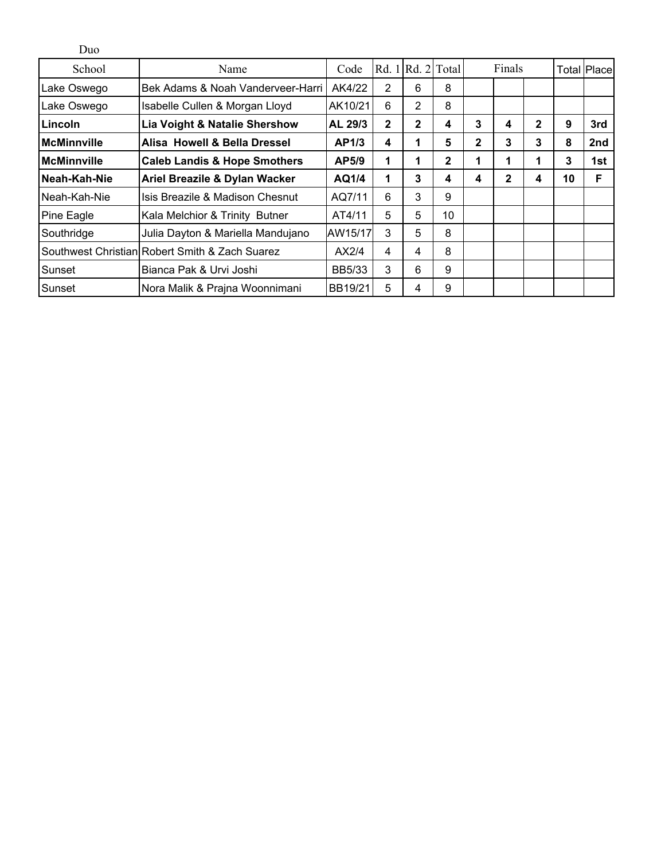| Duo.                                                          |                                                |               |                |                   |              |   |              |              |    |                    |
|---------------------------------------------------------------|------------------------------------------------|---------------|----------------|-------------------|--------------|---|--------------|--------------|----|--------------------|
| School                                                        | Name                                           | Code          |                | Rd. 1 Rd. 2 Total |              |   | Finals       |              |    | <b>Total Place</b> |
| Lake Oswego                                                   | Bek Adams & Noah Vanderveer-Harri              | AK4/22        | $\overline{2}$ | 6                 | 8            |   |              |              |    |                    |
| Lake Oswego                                                   | Isabelle Cullen & Morgan Lloyd                 | AK10/21       | 6              | 2                 | 8            |   |              |              |    |                    |
| Lincoln                                                       | Lia Voight & Natalie Shershow                  | AL 29/3       | $\mathbf{2}$   | $\mathbf{2}$      | 4            | 3 | 4            | $\mathbf{2}$ | 9  | 3rd                |
| <b>McMinnville</b>                                            | Alisa Howell & Bella Dressel                   | AP1/3         | 4              | 1                 | 5            | 2 | 3            | 3            | 8  | 2nd                |
| <b>McMinnville</b><br><b>Caleb Landis &amp; Hope Smothers</b> |                                                | AP5/9         | 1              | 1                 | $\mathbf{2}$ | 1 |              |              | 3  | 1st                |
| Neah-Kah-Nie                                                  | Ariel Breazile & Dylan Wacker                  | AQ1/4         | 1              | 3                 | 4            | 4 | $\mathbf{2}$ | 4            | 10 | F                  |
| Neah-Kah-Nie                                                  | Isis Breazile & Madison Chesnut                | AQ7/11        | 6              | 3                 | 9            |   |              |              |    |                    |
| Pine Eagle                                                    | Kala Melchior & Trinity Butner                 | AT4/11        | 5              | 5                 | 10           |   |              |              |    |                    |
| Southridge                                                    | Julia Dayton & Mariella Mandujano              | AW15/17       | 3              | 5                 | 8            |   |              |              |    |                    |
|                                                               | Southwest Christian Robert Smith & Zach Suarez | AX2/4         | 4              | 4                 | 8            |   |              |              |    |                    |
| Sunset                                                        | Bianca Pak & Urvi Joshi                        | <b>BB5/33</b> | 3              | 6                 | 9            |   |              |              |    |                    |
| Sunset                                                        | Nora Malik & Prajna Woonnimani                 | BB19/21       | 5              | 4                 | 9            |   |              |              |    |                    |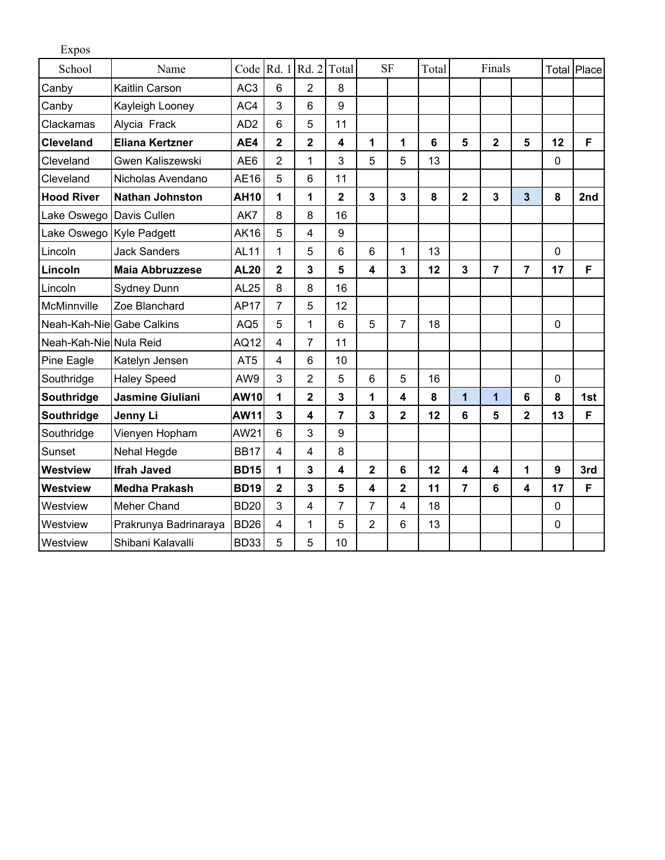| <b>Expos</b>              |                         |                 |                |                |                         |                         |                         |       |                         |                         |                |             |                    |
|---------------------------|-------------------------|-----------------|----------------|----------------|-------------------------|-------------------------|-------------------------|-------|-------------------------|-------------------------|----------------|-------------|--------------------|
| School                    | Name                    | Code            | Rd. 1          | Rd.2           | Total                   | <b>SF</b>               |                         | Total |                         | Finals                  |                |             | <b>Total Place</b> |
| Canby                     | Kaitlin Carson          | AC <sub>3</sub> | 6              | $\overline{2}$ | 8                       |                         |                         |       |                         |                         |                |             |                    |
| Canby                     | Kayleigh Looney         | AC4             | 3              | 6              | 9                       |                         |                         |       |                         |                         |                |             |                    |
| Clackamas                 | Alycia Frack            | AD <sub>2</sub> | 6              | 5              | 11                      |                         |                         |       |                         |                         |                |             |                    |
| <b>Cleveland</b>          | <b>Eliana Kertzner</b>  | AE4             | $\overline{2}$ | $\overline{2}$ | $\overline{\mathbf{4}}$ | 1                       | 1                       | 6     | 5                       | $\overline{2}$          | 5              | 12          | F                  |
| Cleveland                 | <b>Gwen Kaliszewski</b> | AE <sub>6</sub> | $\overline{2}$ | 1              | 3                       | 5                       | 5                       | 13    |                         |                         |                | $\mathbf 0$ |                    |
| Cleveland                 | Nicholas Avendano       | <b>AE16</b>     | 5              | 6              | 11                      |                         |                         |       |                         |                         |                |             |                    |
| <b>Hood River</b>         | <b>Nathan Johnston</b>  | <b>AH10</b>     | 1              | 1              | $\overline{\mathbf{2}}$ | $\mathbf{3}$            | $\overline{3}$          | 8     | $\overline{2}$          | $\overline{\mathbf{3}}$ | $\overline{3}$ | 8           | 2nd                |
| Lake Oswego               | Davis Cullen            | AK7             | 8              | 8              | 16                      |                         |                         |       |                         |                         |                |             |                    |
| Lake Oswego               | <b>Kyle Padgett</b>     | <b>AK16</b>     | 5              | 4              | 9                       |                         |                         |       |                         |                         |                |             |                    |
| Lincoln                   | <b>Jack Sanders</b>     | <b>AL11</b>     | $\mathbf{1}$   | 5              | 6                       | 6                       | 1                       | 13    |                         |                         |                | $\mathbf 0$ |                    |
| Lincoln                   | <b>Maia Abbruzzese</b>  | <b>AL20</b>     | $\mathbf{2}$   | 3              | 5                       | $\overline{\mathbf{4}}$ | 3                       | 12    | 3                       | $\overline{7}$          | $\overline{7}$ | 17          | F                  |
| Lincoln                   | Sydney Dunn             | <b>AL25</b>     | 8              | 8              | 16                      |                         |                         |       |                         |                         |                |             |                    |
| McMinnville               | Zoe Blanchard           | <b>AP17</b>     | $\overline{7}$ | 5              | 12                      |                         |                         |       |                         |                         |                |             |                    |
| Neah-Kah-Nie Gabe Calkins |                         | AQ <sub>5</sub> | 5              | 1              | 6                       | 5                       | 7                       | 18    |                         |                         |                | $\mathbf 0$ |                    |
| Neah-Kah-Nie Nula Reid    |                         | AQ12            | 4              | $\overline{7}$ | 11                      |                         |                         |       |                         |                         |                |             |                    |
| Pine Eagle                | Katelyn Jensen          | AT <sub>5</sub> | $\overline{4}$ | $6\phantom{1}$ | 10                      |                         |                         |       |                         |                         |                |             |                    |
| Southridge                | <b>Haley Speed</b>      | AW9             | 3              | $\overline{2}$ | 5                       | 6                       | 5                       | 16    |                         |                         |                | $\mathbf 0$ |                    |
| Southridge                | <b>Jasmine Giuliani</b> | <b>AW10</b>     | 1              | $\overline{2}$ | 3                       | 1                       | 4                       | 8     | $\mathbf{1}$            | $\overline{1}$          | 6              | 8           | 1st                |
| Southridge                | Jenny Li                | <b>AW11</b>     | 3              | 4              | $\overline{7}$          | $\mathbf{3}$            | $\overline{\mathbf{2}}$ | 12    | 6                       | 5                       | $\mathbf 2$    | 13          | F                  |
| Southridge                | Vienyen Hopham          | AW21            | 6              | 3              | 9                       |                         |                         |       |                         |                         |                |             |                    |
| Sunset                    | Nehal Hegde             | <b>BB17</b>     | $\overline{4}$ | 4              | 8                       |                         |                         |       |                         |                         |                |             |                    |
| <b>Westview</b>           | <b>Ifrah Javed</b>      | <b>BD15</b>     | 1              | 3              | 4                       | $\mathbf{2}$            | 6                       | 12    | $\overline{\mathbf{4}}$ | $\overline{\mathbf{4}}$ | 1              | 9           | 3rd                |
| <b>Westview</b>           | <b>Medha Prakash</b>    | <b>BD19</b>     | $\mathbf 2$    | 3              | 5                       | $\overline{\mathbf{4}}$ | $\overline{\mathbf{2}}$ | 11    | $\overline{7}$          | $6\phantom{a}$          | 4              | 17          | F                  |
| Westview                  | <b>Meher Chand</b>      | <b>BD20</b>     | 3              | 4              | $\overline{7}$          | $\overline{7}$          | $\overline{4}$          | 18    |                         |                         |                | $\mathbf 0$ |                    |
| Westview                  | Prakrunya Badrinaraya   | <b>BD26</b>     | $\overline{4}$ | 1              | 5                       | $\overline{2}$          | $6\phantom{1}$          | 13    |                         |                         |                | $\mathbf 0$ |                    |
| Westview                  | Shibani Kalavalli       | <b>BD33</b>     | 5              | 5              | 10                      |                         |                         |       |                         |                         |                |             |                    |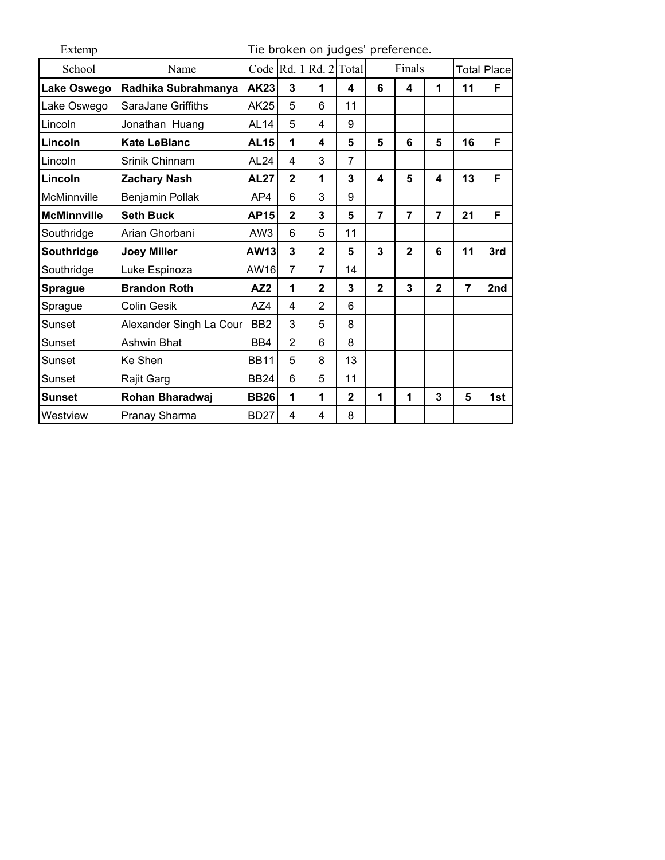| Extemp             |                         |                 |                        |                |                |                | Tie broken on judges' preference. |                |                |                    |
|--------------------|-------------------------|-----------------|------------------------|----------------|----------------|----------------|-----------------------------------|----------------|----------------|--------------------|
| School             | Name                    |                 | Code Rd. 1 Rd. 2 Total |                |                |                | Finals                            |                |                | <b>Total Place</b> |
| <b>Lake Oswego</b> | Radhika Subrahmanya     | <b>AK23</b>     | 3                      | 1              | 4              | 6              | 4                                 | 1              | 11             | F                  |
| Lake Oswego        | SaraJane Griffiths      | <b>AK25</b>     | 5                      | 6              | 11             |                |                                   |                |                |                    |
| Lincoln            | Jonathan Huang          | <b>AL14</b>     | 5                      | 4              | 9              |                |                                   |                |                |                    |
| Lincoln            | <b>Kate LeBlanc</b>     | <b>AL15</b>     | 1                      | 4              | 5              | 5              | 6                                 | 5              | 16             | F                  |
| Lincoln            | Srinik Chinnam          | AL24            | 4                      | 3              | $\overline{7}$ |                |                                   |                |                |                    |
| Lincoln            | <b>Zachary Nash</b>     | <b>AL27</b>     | $\overline{2}$         | 1              | 3              | 4              | 5                                 | 4              | 13             | F                  |
| McMinnville        | Benjamin Pollak         | AP4             | 6                      | 3              | 9              |                |                                   |                |                |                    |
| <b>McMinnville</b> | <b>Seth Buck</b>        | <b>AP15</b>     | $\overline{2}$         | 3              | 5              | $\overline{7}$ | $\overline{7}$                    | $\overline{7}$ | 21             | F                  |
| Southridge         | Arian Ghorbani          | AW3             | 6                      | 5              | 11             |                |                                   |                |                |                    |
| Southridge         | <b>Joey Miller</b>      | <b>AW13</b>     | 3                      | $\mathbf{2}$   | 5              | 3              | $\overline{2}$                    | 6              | 11             | 3rd                |
| Southridge         | Luke Espinoza           | AW16            | $\overline{7}$         | $\overline{7}$ | 14             |                |                                   |                |                |                    |
| <b>Sprague</b>     | <b>Brandon Roth</b>     | AZ <sub>2</sub> | 1                      | $\overline{2}$ | 3              | $\mathbf{2}$   | 3                                 | $\mathbf{2}$   | $\overline{7}$ | 2nd                |
| Sprague            | <b>Colin Gesik</b>      | AZ4             | 4                      | $\overline{2}$ | 6              |                |                                   |                |                |                    |
| Sunset             | Alexander Singh La Cour | B <sub>B2</sub> | 3                      | 5              | 8              |                |                                   |                |                |                    |
| Sunset             | <b>Ashwin Bhat</b>      | BB4             | $\overline{2}$         | 6              | 8              |                |                                   |                |                |                    |
| Sunset             | Ke Shen                 | <b>BB11</b>     | 5                      | 8              | 13             |                |                                   |                |                |                    |
| Sunset             | Rajit Garg              | <b>BB24</b>     | 6                      | 5              | 11             |                |                                   |                |                |                    |
| <b>Sunset</b>      | Rohan Bharadwaj         | <b>BB26</b>     | 1                      | 1              | $\mathbf{2}$   | 1              | 1                                 | 3              | 5              | 1st                |
| Westview           | Pranay Sharma           | <b>BD27</b>     | 4                      | 4              | 8              |                |                                   |                |                |                    |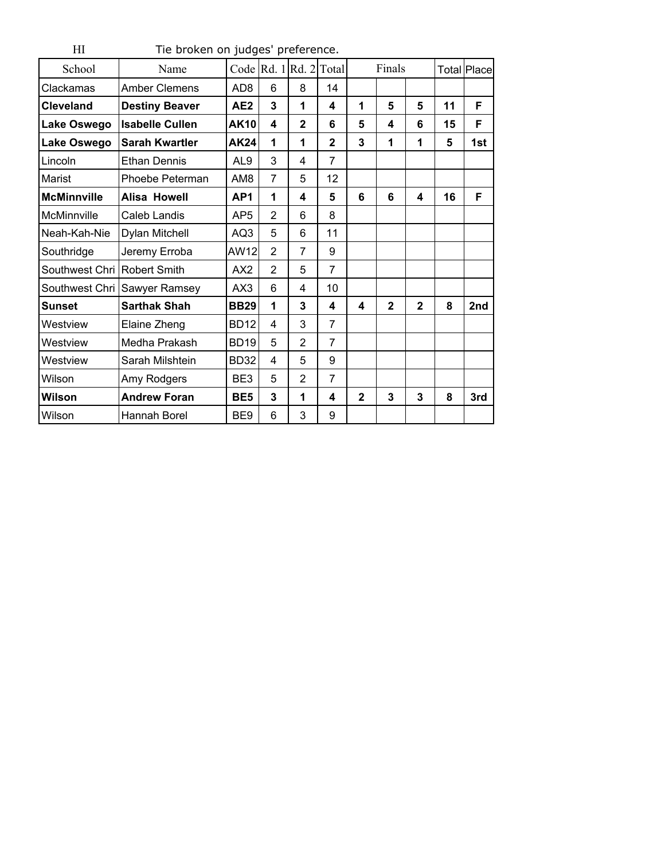| HI                 | Tie broken on judges' preference. |                 |                |                        |                |                |                |              |    |                    |
|--------------------|-----------------------------------|-----------------|----------------|------------------------|----------------|----------------|----------------|--------------|----|--------------------|
| School             | Name                              |                 |                | Code Rd. 1 Rd. 2 Total |                |                | Finals         |              |    | <b>Total Place</b> |
| Clackamas          | <b>Amber Clemens</b>              | AD <sub>8</sub> | 6              | 8                      | 14             |                |                |              |    |                    |
| <b>Cleveland</b>   | <b>Destiny Beaver</b>             | AE <sub>2</sub> | 3              | 1                      | 4              | 1              | 5              | 5            | 11 | F                  |
| Lake Oswego        | <b>Isabelle Cullen</b>            | <b>AK10</b>     | 4              | $\mathbf{2}$           | 6              | 5              | 4              | 6            | 15 | F                  |
| Lake Oswego        | <b>Sarah Kwartler</b>             | AK24            | 1              | 1                      | $\overline{2}$ | 3              | 1              | 1            | 5  | 1st                |
| Lincoln            | <b>Ethan Dennis</b>               | AL <sub>9</sub> | 3              | 4                      | $\overline{7}$ |                |                |              |    |                    |
| Marist             | Phoebe Peterman                   | AM <sub>8</sub> | $\overline{7}$ | 5                      | 12             |                |                |              |    |                    |
| <b>McMinnville</b> | <b>Alisa Howell</b>               | AP <sub>1</sub> | 1              | 4                      | 5              | 6              | 6              | 4            | 16 | F                  |
| McMinnville        | Caleb Landis                      | AP <sub>5</sub> | $\overline{2}$ | 6                      | 8              |                |                |              |    |                    |
| Neah-Kah-Nie       | Dylan Mitchell                    | AQ3             | 5              | 6                      | 11             |                |                |              |    |                    |
| Southridge         | Jeremy Erroba                     | AW12            | $\overline{2}$ | $\overline{7}$         | 9              |                |                |              |    |                    |
| Southwest Chri     | Robert Smith                      | AX <sub>2</sub> | $\overline{2}$ | 5                      | 7              |                |                |              |    |                    |
|                    | Southwest Chri   Sawyer Ramsey    | AX3             | 6              | 4                      | 10             |                |                |              |    |                    |
| Sunset             | <b>Sarthak Shah</b>               | <b>BB29</b>     | 1              | 3                      | 4              | 4              | $\overline{2}$ | $\mathbf{2}$ | 8  | 2nd                |
| Westview           | Elaine Zheng                      | <b>BD12</b>     | 4              | 3                      | $\overline{7}$ |                |                |              |    |                    |
| Westview           | Medha Prakash                     | <b>BD19</b>     | 5              | $\overline{2}$         | $\overline{7}$ |                |                |              |    |                    |
| Westview           | Sarah Milshtein                   | <b>BD32</b>     | 4              | 5                      | 9              |                |                |              |    |                    |
| Wilson             | Amy Rodgers                       | BE <sub>3</sub> | 5              | $\overline{2}$         | $\overline{7}$ |                |                |              |    |                    |
| Wilson             | <b>Andrew Foran</b>               | BE <sub>5</sub> | 3              | 1                      | 4              | $\overline{2}$ | 3              | 3            | 8  | 3rd                |
| Wilson             | Hannah Borel                      | BE9             | 6              | 3                      | 9              |                |                |              |    |                    |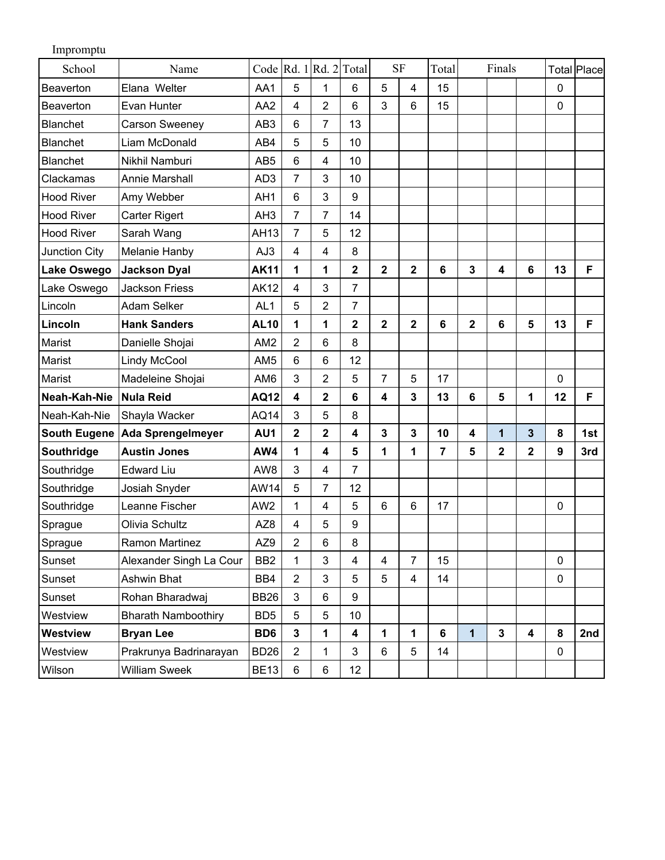| Impromptu           |                            |                 |                         |                         |                         |                         |                         |                |                         |                |                |             |                    |
|---------------------|----------------------------|-----------------|-------------------------|-------------------------|-------------------------|-------------------------|-------------------------|----------------|-------------------------|----------------|----------------|-------------|--------------------|
| School              | Name                       | Code            |                         | Rd. 1 Rd. 2 Total       |                         | <b>SF</b>               |                         | Total          |                         | Finals         |                |             | <b>Total Place</b> |
| Beaverton           | Elana Welter               | AA1             | 5                       | 1                       | 6                       | 5                       | 4                       | 15             |                         |                |                | $\mathbf 0$ |                    |
| Beaverton           | Evan Hunter                | AA <sub>2</sub> | 4                       | 2                       | 6                       | 3                       | 6                       | 15             |                         |                |                | 0           |                    |
| <b>Blanchet</b>     | <b>Carson Sweeney</b>      | AB <sub>3</sub> | 6                       | 7                       | 13                      |                         |                         |                |                         |                |                |             |                    |
| <b>Blanchet</b>     | Liam McDonald              | AB4             | 5                       | 5                       | 10                      |                         |                         |                |                         |                |                |             |                    |
| <b>Blanchet</b>     | Nikhil Namburi             | AB <sub>5</sub> | 6                       | 4                       | 10                      |                         |                         |                |                         |                |                |             |                    |
| Clackamas           | Annie Marshall             | AD <sub>3</sub> | $\overline{7}$          | 3                       | 10                      |                         |                         |                |                         |                |                |             |                    |
| <b>Hood River</b>   | Amy Webber                 | AH1             | $6\phantom{1}$          | 3                       | 9                       |                         |                         |                |                         |                |                |             |                    |
| <b>Hood River</b>   | Carter Rigert              | AH <sub>3</sub> | 7                       | 7                       | 14                      |                         |                         |                |                         |                |                |             |                    |
| <b>Hood River</b>   | Sarah Wang                 | AH13            | 7                       | 5                       | 12                      |                         |                         |                |                         |                |                |             |                    |
| Junction City       | Melanie Hanby              | AJ3             | $\overline{4}$          | 4                       | 8                       |                         |                         |                |                         |                |                |             |                    |
| <b>Lake Oswego</b>  | <b>Jackson Dyal</b>        | <b>AK11</b>     | 1                       | 1                       | $\overline{2}$          | $\overline{2}$          | $\overline{2}$          | 6              | 3                       | 4              | $6\phantom{1}$ | 13          | F                  |
| Lake Oswego         | <b>Jackson Friess</b>      | <b>AK12</b>     | 4                       | 3                       | $\overline{7}$          |                         |                         |                |                         |                |                |             |                    |
| Lincoln             | Adam Selker                | AL <sub>1</sub> | 5                       | 2                       | 7                       |                         |                         |                |                         |                |                |             |                    |
| Lincoln             | <b>Hank Sanders</b>        | <b>AL10</b>     | 1                       | 1                       | $\overline{2}$          | $\overline{\mathbf{2}}$ | $\overline{\mathbf{2}}$ | 6              | $\overline{\mathbf{2}}$ | 6              | 5              | 13          | F                  |
| Marist              | Danielle Shojai            | AM <sub>2</sub> | $\overline{2}$          | 6                       | 8                       |                         |                         |                |                         |                |                |             |                    |
| Marist              | <b>Lindy McCool</b>        | AM <sub>5</sub> | $6\phantom{1}$          | $6\phantom{1}$          | 12                      |                         |                         |                |                         |                |                |             |                    |
| Marist              | Madeleine Shojai           | AM <sub>6</sub> | 3                       | 2                       | 5                       | $\overline{7}$          | 5                       | 17             |                         |                |                | $\mathbf 0$ |                    |
| Neah-Kah-Nie        | <b>Nula Reid</b>           | <b>AQ12</b>     | $\overline{\mathbf{4}}$ | $\overline{\mathbf{2}}$ | 6                       | 4                       | 3                       | 13             | 6                       | 5              | 1              | 12          | F                  |
| Neah-Kah-Nie        | Shayla Wacker              | AQ14            | 3                       | 5                       | 8                       |                         |                         |                |                         |                |                |             |                    |
| <b>South Eugene</b> | <b>Ada Sprengelmeyer</b>   | AU1             | $\overline{2}$          | $\overline{2}$          | $\overline{\mathbf{4}}$ | $\overline{3}$          | 3                       | 10             | 4                       | $\mathbf{1}$   | 3              | 8           | 1st                |
| Southridge          | <b>Austin Jones</b>        | AW4             | 1                       | $\overline{\mathbf{4}}$ | 5                       | 1                       | 1                       | $\overline{7}$ | 5                       | $\overline{2}$ | $\overline{2}$ | 9           | 3rd                |
| Southridge          | <b>Edward Liu</b>          | AW8             | 3                       | 4                       | $\overline{7}$          |                         |                         |                |                         |                |                |             |                    |
| Southridge          | Josiah Snyder              | <b>AW14</b>     | 5                       | 7                       | 12                      |                         |                         |                |                         |                |                |             |                    |
| Southridge          | Leanne Fischer             | AW <sub>2</sub> | 1                       | 4                       | 5                       | 6                       | 6                       | 17             |                         |                |                | 0           |                    |
| Sprague             | Olivia Schultz             | AZ <sub>8</sub> | $\overline{4}$          | 5                       | 9                       |                         |                         |                |                         |                |                |             |                    |
| Sprague             | Ramon Martinez             | AZ9             | $\overline{2}$          | 6                       | 8                       |                         |                         |                |                         |                |                |             |                    |
| Sunset              | Alexander Singh La Cour    | BB <sub>2</sub> | 1                       | 3                       | 4                       | $\overline{4}$          | $\overline{7}$          | 15             |                         |                |                | $\mathbf 0$ |                    |
| Sunset              | Ashwin Bhat                | BB4             | $\overline{2}$          | 3                       | 5                       | 5                       | 4                       | 14             |                         |                |                | $\mathbf 0$ |                    |
| Sunset              | Rohan Bharadwaj            | <b>BB26</b>     | 3                       | 6                       | 9                       |                         |                         |                |                         |                |                |             |                    |
| Westview            | <b>Bharath Namboothiry</b> | BD <sub>5</sub> | 5                       | 5                       | 10                      |                         |                         |                |                         |                |                |             |                    |
| Westview            | <b>Bryan Lee</b>           | BD6             | $\mathbf 3$             | 1                       | $\overline{\mathbf{4}}$ | $\mathbf 1$             | 1                       | $6\phantom{a}$ | 1                       | $\mathbf{3}$   | 4              | 8           | 2nd                |
| Westview            | Prakrunya Badrinarayan     | <b>BD26</b>     | $\overline{2}$          | 1                       | 3                       | 6                       | 5                       | 14             |                         |                |                | 0           |                    |
| Wilson              | <b>William Sweek</b>       | <b>BE13</b>     | 6                       | 6                       | 12                      |                         |                         |                |                         |                |                |             |                    |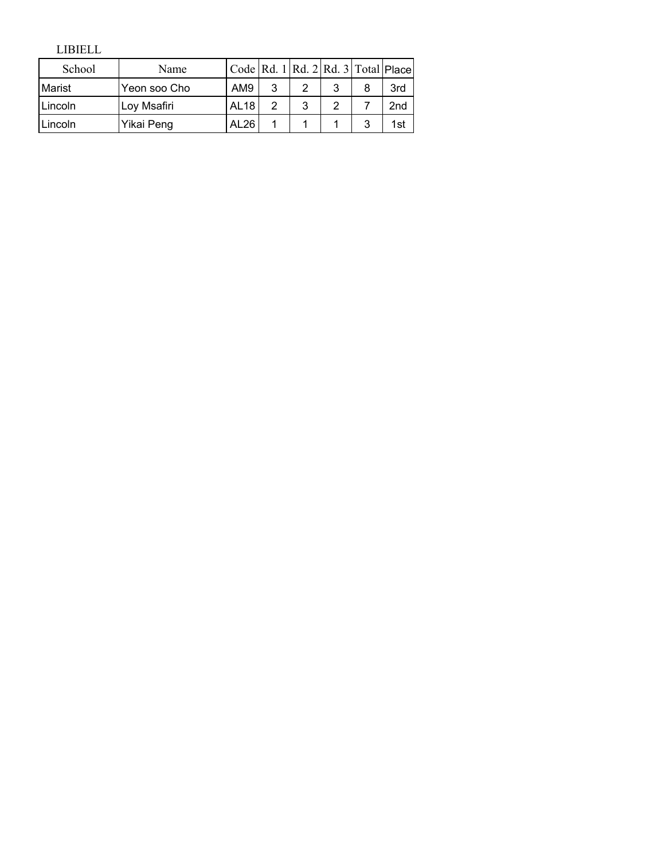LIBIELL

| School  | Name         | $\text{Code}$ Rd. 1 Rd. 2 Rd. 3 Total Place |   |  |     |
|---------|--------------|---------------------------------------------|---|--|-----|
| Marist  | Yeon soo Cho | AM <sub>9</sub>                             | 2 |  | 3rd |
| Lincoln | Loy Msafiri  | <b>AL18</b>                                 |   |  | 2nd |
| Lincoln | Yikai Peng   | AL26                                        |   |  | 1st |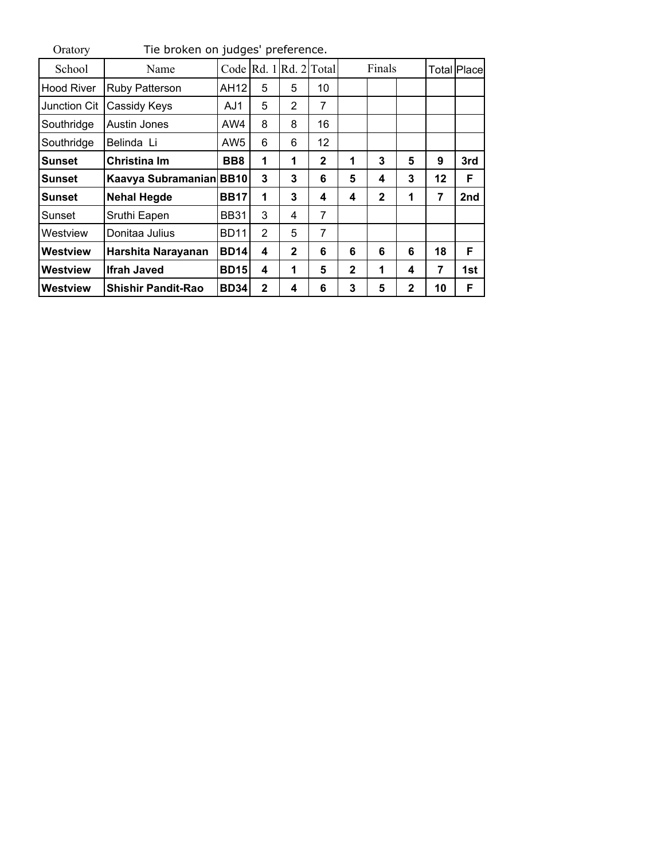| Oratory           | Tie broken on judges' preference. |                 |                |              |                        |              |              |              |    |                    |  |  |
|-------------------|-----------------------------------|-----------------|----------------|--------------|------------------------|--------------|--------------|--------------|----|--------------------|--|--|
| School            | Name                              |                 |                |              | Code Rd. 1 Rd. 2 Total |              | Finals       |              |    | <b>Total Place</b> |  |  |
| <b>Hood River</b> | Ruby Patterson                    | AH12            | 5              | 5            | 10                     |              |              |              |    |                    |  |  |
| Junction Cit      | Cassidy Keys                      | AJ1             | 5              | 2            | 7                      |              |              |              |    |                    |  |  |
| Southridge        | Austin Jones                      | AW4             | 8              | 8            | 16                     |              |              |              |    |                    |  |  |
| Southridge        | Belinda Li                        | AW <sub>5</sub> | 6              | 6            | 12                     |              |              |              |    |                    |  |  |
| Sunset            | Christina Im                      | BB <sub>8</sub> | 1              | 1            | $\mathbf{2}$           | 1            | 3            | 5            | 9  | 3rd                |  |  |
| Sunset            | Kaavya Subramanian BB10           |                 | 3              | 3            | 6                      | 5            | 4            | 3            | 12 | F                  |  |  |
| Sunset            | <b>Nehal Hegde</b>                | <b>BB17</b>     | 1              | 3            | 4                      | 4            | $\mathbf{2}$ | 1            | 7  | 2nd                |  |  |
| Sunset            | Sruthi Eapen                      | <b>BB31</b>     | 3              | 4            | $\overline{7}$         |              |              |              |    |                    |  |  |
| Westview          | Donitaa Julius                    | <b>BD11</b>     | $\overline{2}$ | 5            | 7                      |              |              |              |    |                    |  |  |
| Westview          | Harshita Narayanan                | <b>BD14</b>     | 4              | $\mathbf{2}$ | 6                      | 6            | 6            | 6            | 18 | F                  |  |  |
| Westview          | <b>Ifrah Javed</b>                | <b>BD15</b>     | 4              | 1            | 5                      | $\mathbf{2}$ | 1            | 4            | 7  | 1st                |  |  |
| Westview          | <b>Shishir Pandit-Rao</b>         | <b>BD34</b>     | $\mathbf{2}$   | 4            | 6                      | 3            | 5            | $\mathbf{2}$ | 10 | F                  |  |  |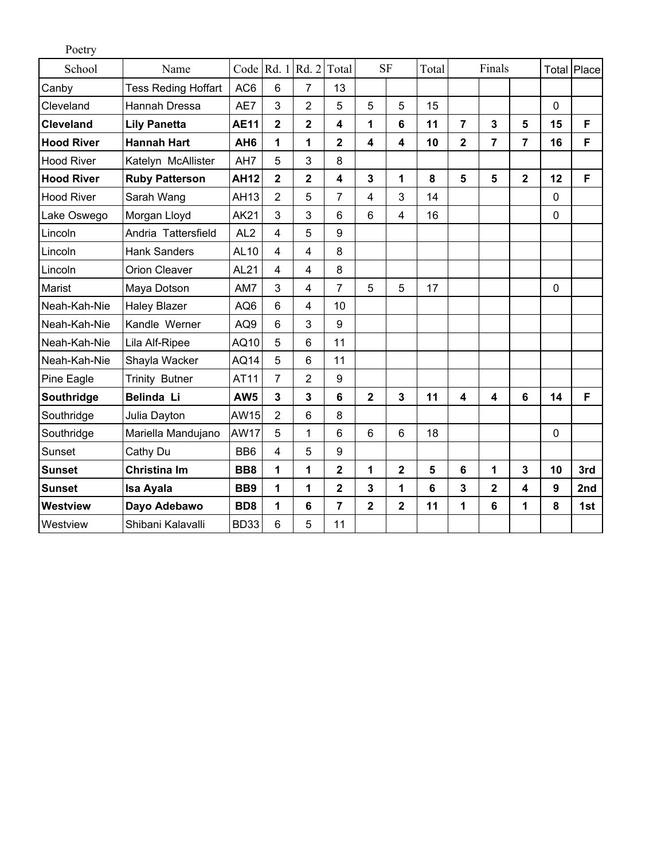| Poetry            |                            |                 |                |                |                         |                         |                         |       |                         |                         |                         |                  |             |
|-------------------|----------------------------|-----------------|----------------|----------------|-------------------------|-------------------------|-------------------------|-------|-------------------------|-------------------------|-------------------------|------------------|-------------|
| School            | Name                       | Code $Rd.1$     |                | Rd.2           | Total                   |                         | <b>SF</b>               | Total |                         | Finals                  |                         |                  | Total Place |
| Canby             | <b>Tess Reding Hoffart</b> | AC <sub>6</sub> | 6              | 7              | 13                      |                         |                         |       |                         |                         |                         |                  |             |
| Cleveland         | Hannah Dressa              | AE7             | 3              | $\overline{2}$ | 5                       | 5                       | 5                       | 15    |                         |                         |                         | $\mathbf 0$      |             |
| <b>Cleveland</b>  | <b>Lily Panetta</b>        | <b>AE11</b>     | $\overline{2}$ | $\overline{2}$ | 4                       | 1                       | 6                       | 11    | $\overline{7}$          | 3                       | 5                       | 15               | F           |
| <b>Hood River</b> | <b>Hannah Hart</b>         | AH <sub>6</sub> | 1              | 1              | 2                       | 4                       | $\overline{\mathbf{4}}$ | 10    | $\overline{\mathbf{2}}$ | $\overline{7}$          | 7                       | 16               | F           |
| <b>Hood River</b> | Katelyn McAllister         | AH7             | 5              | 3              | 8                       |                         |                         |       |                         |                         |                         |                  |             |
| <b>Hood River</b> | <b>Ruby Patterson</b>      | <b>AH12</b>     | $\overline{2}$ | $\overline{2}$ | $\overline{\mathbf{4}}$ | $\overline{\mathbf{3}}$ | 1                       | 8     | 5                       | 5                       | $\overline{2}$          | 12               | F           |
| <b>Hood River</b> | Sarah Wang                 | AH13            | $\overline{2}$ | 5              | $\overline{7}$          | 4                       | 3                       | 14    |                         |                         |                         | $\mathbf 0$      |             |
| Lake Oswego       | Morgan Lloyd               | <b>AK21</b>     | 3              | 3              | 6                       | 6                       | $\overline{4}$          | 16    |                         |                         |                         | $\mathbf 0$      |             |
| Lincoln           | Andria Tattersfield        | AL <sub>2</sub> | 4              | 5              | 9                       |                         |                         |       |                         |                         |                         |                  |             |
| Lincoln           | <b>Hank Sanders</b>        | <b>AL10</b>     | $\overline{4}$ | $\overline{4}$ | 8                       |                         |                         |       |                         |                         |                         |                  |             |
| Lincoln           | <b>Orion Cleaver</b>       | <b>AL21</b>     | $\overline{4}$ | $\overline{4}$ | 8                       |                         |                         |       |                         |                         |                         |                  |             |
| Marist            | Maya Dotson                | AM7             | 3              | $\overline{4}$ | $\overline{7}$          | 5                       | 5                       | 17    |                         |                         |                         | $\mathbf 0$      |             |
| Neah-Kah-Nie      | <b>Haley Blazer</b>        | AQ6             | 6              | $\overline{4}$ | 10                      |                         |                         |       |                         |                         |                         |                  |             |
| Neah-Kah-Nie      | Kandle Werner              | AQ9             | 6              | 3              | 9                       |                         |                         |       |                         |                         |                         |                  |             |
| Neah-Kah-Nie      | Lila Alf-Ripee             | AQ10            | 5              | 6              | 11                      |                         |                         |       |                         |                         |                         |                  |             |
| Neah-Kah-Nie      | Shayla Wacker              | AQ14            | 5              | 6              | 11                      |                         |                         |       |                         |                         |                         |                  |             |
| Pine Eagle        | Trinity Butner             | AT11            | $\overline{7}$ | $\overline{2}$ | 9                       |                         |                         |       |                         |                         |                         |                  |             |
| Southridge        | Belinda Li                 | AW <sub>5</sub> | 3              | 3              | 6                       | $\overline{2}$          | $\overline{3}$          | 11    | $\overline{\mathbf{4}}$ | $\overline{\mathbf{4}}$ | 6                       | 14               | F           |
| Southridge        | Julia Dayton               | <b>AW15</b>     | $\overline{2}$ | 6              | 8                       |                         |                         |       |                         |                         |                         |                  |             |
| Southridge        | Mariella Mandujano         | <b>AW17</b>     | 5              | 1              | 6                       | 6                       | 6                       | 18    |                         |                         |                         | $\mathbf 0$      |             |
| Sunset            | Cathy Du                   | BB <sub>6</sub> | 4              | 5              | 9                       |                         |                         |       |                         |                         |                         |                  |             |
| <b>Sunset</b>     | Christina Im               | BB <sub>8</sub> | 1              | 1              | $\overline{2}$          | 1                       | $\overline{2}$          | 5     | 6                       | 1                       | $\overline{\mathbf{3}}$ | 10               | 3rd         |
| <b>Sunset</b>     | <b>Isa Ayala</b>           | BB <sub>9</sub> | 1              | 1              | $\overline{2}$          | $\overline{3}$          | $\mathbf{1}$            | 6     | 3                       | $\overline{\mathbf{2}}$ | 4                       | $\boldsymbol{9}$ | 2nd         |
| <b>Westview</b>   | Dayo Adebawo               | BD <sub>8</sub> | 1              | $6\phantom{a}$ | $\overline{7}$          | $\overline{\mathbf{2}}$ | $\overline{\mathbf{2}}$ | 11    | 1                       | 6                       | 1                       | 8                | 1st         |
| Westview          | Shibani Kalavalli          | <b>BD33</b>     | 6              | 5              | 11                      |                         |                         |       |                         |                         |                         |                  |             |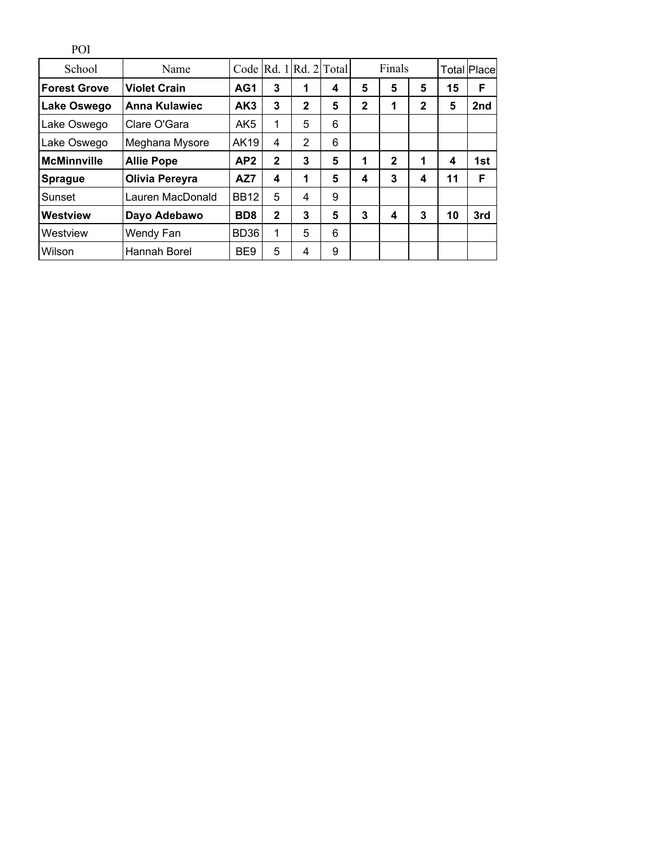| <b>POI</b>          |                   |                  |              |              |                        |              |              |              |    |                    |
|---------------------|-------------------|------------------|--------------|--------------|------------------------|--------------|--------------|--------------|----|--------------------|
| School              | Name              |                  |              |              | Code Rd. 1 Rd. 2 Total |              | Finals       |              |    | <b>Total Place</b> |
| <b>Forest Grove</b> | Violet Crain      | AG1              | 3            | 1            | 4                      | 5            | 5            | 5            | 15 | F                  |
| Lake Oswego         | Anna Kulawiec     | AK3              | 3            | $\mathbf{2}$ | 5                      | $\mathbf{2}$ | 1            | $\mathbf{2}$ | 5  | 2nd                |
| Lake Oswego         | Clare O'Gara      | AK <sub>5</sub>  | 1            | 5            | 6                      |              |              |              |    |                    |
| Lake Oswego         | Meghana Mysore    | AK19             | 4            | 2            | 6                      |              |              |              |    |                    |
| <b>McMinnville</b>  | <b>Allie Pope</b> | AP2              | $\mathbf{2}$ | 3            | 5                      | 1            | $\mathbf{2}$ | 1            | 4  | 1st                |
| <b>Sprague</b>      | Olivia Pereyra    | AZ7              | 4            | 1            | 5                      | 4            | 3            | 4            | 11 | F                  |
| Sunset              | Lauren MacDonald  | <b>BB12</b>      | 5            | 4            | 9                      |              |              |              |    |                    |
| Westview            | Dayo Adebawo      | BD <sub>8</sub>  | $\mathbf{2}$ | 3            | 5                      | 3            | 4            | 3            | 10 | 3rd                |
| Westview            | Wendy Fan         | BD <sub>36</sub> |              | 5            | 6                      |              |              |              |    |                    |
| Wilson              | Hannah Borel      | BE <sub>9</sub>  | 5            | 4            | 9                      |              |              |              |    |                    |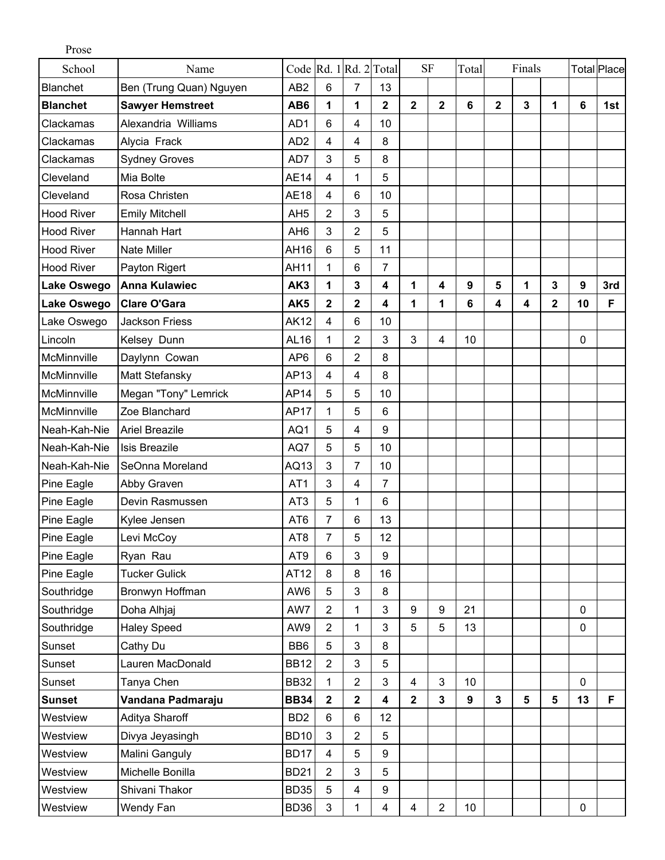| Prose              |                         |                 |                         |                         |                         |                         |                  |                 |              |                         |                |             |             |
|--------------------|-------------------------|-----------------|-------------------------|-------------------------|-------------------------|-------------------------|------------------|-----------------|--------------|-------------------------|----------------|-------------|-------------|
| School             | Name                    |                 |                         | Code Rd. 1 Rd. 2 Total  |                         |                         | <b>SF</b>        | Total           |              | Finals                  |                |             | Total Place |
| <b>Blanchet</b>    | Ben (Trung Quan) Nguyen | AB <sub>2</sub> | 6                       | $\overline{7}$          | 13                      |                         |                  |                 |              |                         |                |             |             |
| <b>Blanchet</b>    | <b>Sawyer Hemstreet</b> | AB6             | 1                       | 1                       | $\overline{\mathbf{2}}$ | $\mathbf{2}$            | $\mathbf 2$      | $6\phantom{a}$  | $\mathbf 2$  | 3                       | 1              | 6           | 1st         |
| Clackamas          | Alexandria Williams     | AD <sub>1</sub> | 6                       | 4                       | 10                      |                         |                  |                 |              |                         |                |             |             |
| Clackamas          | Alycia Frack            | AD <sub>2</sub> | 4                       | 4                       | 8                       |                         |                  |                 |              |                         |                |             |             |
| Clackamas          | <b>Sydney Groves</b>    | AD7             | 3                       | 5                       | 8                       |                         |                  |                 |              |                         |                |             |             |
| Cleveland          | Mia Bolte               | <b>AE14</b>     | 4                       | 1                       | 5                       |                         |                  |                 |              |                         |                |             |             |
| Cleveland          | Rosa Christen           | <b>AE18</b>     | 4                       | 6                       | 10                      |                         |                  |                 |              |                         |                |             |             |
| <b>Hood River</b>  | <b>Emily Mitchell</b>   | AH <sub>5</sub> | $\overline{c}$          | 3                       | 5                       |                         |                  |                 |              |                         |                |             |             |
| <b>Hood River</b>  | Hannah Hart             | AH <sub>6</sub> | 3                       | $\overline{2}$          | 5                       |                         |                  |                 |              |                         |                |             |             |
| <b>Hood River</b>  | <b>Nate Miller</b>      | AH16            | $6\phantom{1}$          | 5                       | 11                      |                         |                  |                 |              |                         |                |             |             |
| <b>Hood River</b>  | Payton Rigert           | <b>AH11</b>     | 1                       | 6                       | $\overline{7}$          |                         |                  |                 |              |                         |                |             |             |
| Lake Oswego        | <b>Anna Kulawiec</b>    | AK3             | 1                       | 3                       | 4                       | 1                       | 4                | 9               | 5            | 1                       | 3              | 9           | 3rd         |
| <b>Lake Oswego</b> | <b>Clare O'Gara</b>     | AK <sub>5</sub> | $\overline{2}$          | $\overline{2}$          | 4                       | 1                       | 1                | 6               | 4            | 4                       | $\overline{2}$ | 10          | F           |
| Lake Oswego        | Jackson Friess          | <b>AK12</b>     | 4                       | 6                       | 10                      |                         |                  |                 |              |                         |                |             |             |
| Lincoln            | Kelsey Dunn             | <b>AL16</b>     | 1                       | 2                       | 3                       | 3                       | 4                | 10              |              |                         |                | $\mathbf 0$ |             |
| McMinnville        | Daylynn Cowan           | AP <sub>6</sub> | 6                       | $\overline{2}$          | 8                       |                         |                  |                 |              |                         |                |             |             |
| McMinnville        | Matt Stefansky          | AP13            | $\overline{4}$          | 4                       | 8                       |                         |                  |                 |              |                         |                |             |             |
| McMinnville        | Megan "Tony" Lemrick    | AP14            | 5                       | 5                       | 10                      |                         |                  |                 |              |                         |                |             |             |
| McMinnville        | Zoe Blanchard           | <b>AP17</b>     | 1                       | 5                       | 6                       |                         |                  |                 |              |                         |                |             |             |
| Neah-Kah-Nie       | <b>Ariel Breazile</b>   | AQ1             | 5                       | 4                       | 9                       |                         |                  |                 |              |                         |                |             |             |
| Neah-Kah-Nie       | <b>Isis Breazile</b>    | AQ7             | 5                       | 5                       | 10                      |                         |                  |                 |              |                         |                |             |             |
| Neah-Kah-Nie       | SeOnna Moreland         | AQ13            | 3                       | $\overline{7}$          | 10                      |                         |                  |                 |              |                         |                |             |             |
| Pine Eagle         | Abby Graven             | AT <sub>1</sub> | 3                       | 4                       | $\overline{7}$          |                         |                  |                 |              |                         |                |             |             |
| Pine Eagle         | Devin Rasmussen         | AT <sub>3</sub> | 5                       | 1                       | 6                       |                         |                  |                 |              |                         |                |             |             |
| Pine Eagle         | Kylee Jensen            | AT6             | $\overline{7}$          | 6                       | 13                      |                         |                  |                 |              |                         |                |             |             |
| Pine Eagle         | Levi McCoy              | AT <sub>8</sub> | 7                       | 5                       | 12                      |                         |                  |                 |              |                         |                |             |             |
| Pine Eagle         | Ryan Rau                | AT9             | $6\phantom{1}$          | 3                       | 9                       |                         |                  |                 |              |                         |                |             |             |
| Pine Eagle         | <b>Tucker Gulick</b>    | AT12            | 8                       | 8                       | 16                      |                         |                  |                 |              |                         |                |             |             |
| Southridge         | Bronwyn Hoffman         | AW6             | 5                       | 3                       | 8                       |                         |                  |                 |              |                         |                |             |             |
| Southridge         | Doha Alhjaj             | AW7             | $\overline{2}$          | 1                       | 3                       | 9                       | $\boldsymbol{9}$ | 21              |              |                         |                | $\mathbf 0$ |             |
| Southridge         | <b>Haley Speed</b>      | AW9             | $\overline{2}$          | 1                       | 3                       | 5                       | 5                | 13              |              |                         |                | 0           |             |
| Sunset             | Cathy Du                | BB <sub>6</sub> | 5                       | 3                       | 8                       |                         |                  |                 |              |                         |                |             |             |
| Sunset             | Lauren MacDonald        | <b>BB12</b>     | $\overline{2}$          | 3                       | 5                       |                         |                  |                 |              |                         |                |             |             |
| Sunset             | Tanya Chen              | <b>BB32</b>     | $\mathbf{1}$            | 2                       | 3                       | $\overline{\mathbf{4}}$ | $\mathfrak{B}$   | 10              |              |                         |                | $\mathbf 0$ |             |
| <b>Sunset</b>      | Vandana Padmaraju       | <b>BB34</b>     | $\mathbf{2}$            | $\overline{\mathbf{2}}$ | 4                       | $\overline{2}$          | 3                | 9               | $\mathbf{3}$ | $\overline{\mathbf{5}}$ | 5              | 13          | F.          |
| Westview           | Aditya Sharoff          | BD <sub>2</sub> | 6                       | 6                       | 12                      |                         |                  |                 |              |                         |                |             |             |
| Westview           | Divya Jeyasingh         | <b>BD10</b>     | 3                       | 2                       | 5                       |                         |                  |                 |              |                         |                |             |             |
| Westview           | Malini Ganguly          | <b>BD17</b>     | $\overline{\mathbf{4}}$ | 5                       | 9                       |                         |                  |                 |              |                         |                |             |             |
| Westview           | Michelle Bonilla        | <b>BD21</b>     | $\overline{2}$          | 3                       | 5                       |                         |                  |                 |              |                         |                |             |             |
| Westview           | Shivani Thakor          | <b>BD35</b>     | 5                       | 4                       | 9                       |                         |                  |                 |              |                         |                |             |             |
| Westview           | Wendy Fan               | BD36            | 3                       | 1                       | 4                       | 4                       | 2                | 10 <sup>°</sup> |              |                         |                | 0           |             |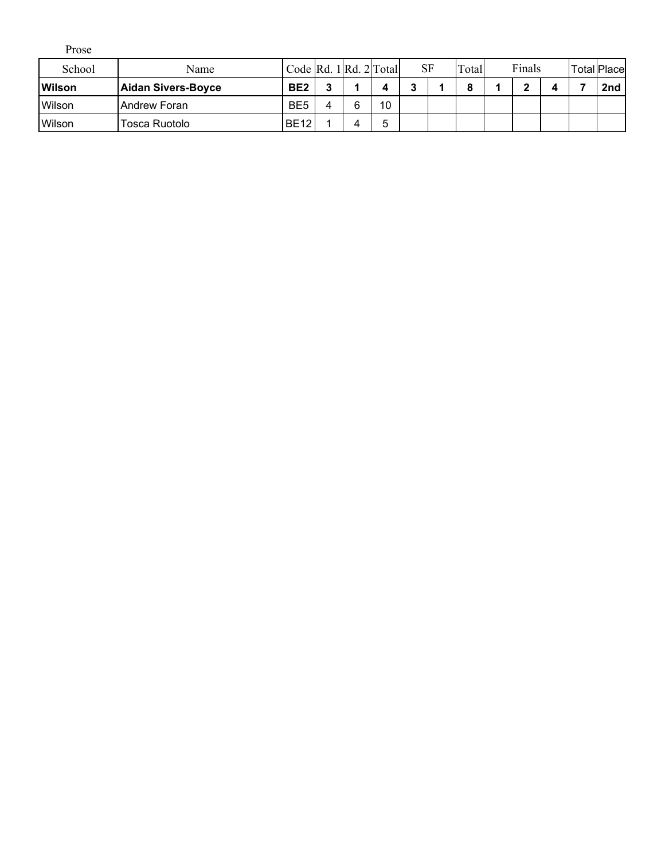Prose

| School        | Name               | Code $\left  \text{Rd. 1} \right $ $\left  \text{Rd. 2} \right $ Total |   |        | <b>SF</b> | <b>Total</b> | Finals |  | Total Place |
|---------------|--------------------|------------------------------------------------------------------------|---|--------|-----------|--------------|--------|--|-------------|
| <b>Wilson</b> | Aidan Sivers-Boyce | BE <sub>2</sub>                                                        | ◠ |        |           |              | -      |  | 2nd         |
| Wilson        | Andrew Foran       | BE <sub>5</sub>                                                        |   | 10     |           |              |        |  |             |
| Wilson        | Tosca Ruotolo      | <b>BE12</b>                                                            |   | -<br>5 |           |              |        |  |             |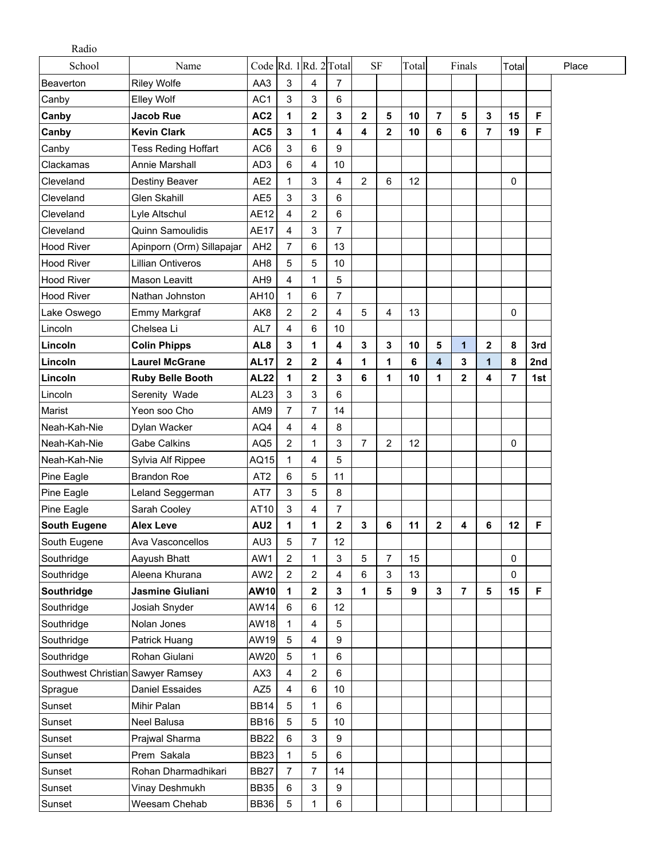| Radio                             |                            |                       |                |                         |                         |                |                |       |                |                |                |             |     |       |
|-----------------------------------|----------------------------|-----------------------|----------------|-------------------------|-------------------------|----------------|----------------|-------|----------------|----------------|----------------|-------------|-----|-------|
| School                            | Name                       | Code Rd. 1Rd. 2 Total |                |                         |                         |                | <b>SF</b>      | Total |                | Finals         |                | Total       |     | Place |
| Beaverton                         | <b>Riley Wolfe</b>         | AA3                   | 3              | 4                       | 7                       |                |                |       |                |                |                |             |     |       |
| Canby                             | Elley Wolf                 | AC <sub>1</sub>       | 3              | 3                       | 6                       |                |                |       |                |                |                |             |     |       |
| Canby                             | Jacob Rue                  | AC <sub>2</sub>       | 1              | $\overline{\mathbf{2}}$ | 3                       | $\mathbf 2$    | 5              | 10    | $\overline{7}$ | 5              | 3              | 15          | F   |       |
| Canby                             | <b>Kevin Clark</b>         | AC5                   | $\mathbf{3}$   | 1                       | 4                       | 4              | $\mathbf{2}$   | 10    | 6              | 6              | $\overline{7}$ | 19          | F   |       |
| Canby                             | <b>Tess Reding Hoffart</b> | AC6                   | 3              | 6                       | 9                       |                |                |       |                |                |                |             |     |       |
| Clackamas                         | <b>Annie Marshall</b>      | AD <sub>3</sub>       | 6              | 4                       | 10                      |                |                |       |                |                |                |             |     |       |
| Cleveland                         | Destiny Beaver             | AE <sub>2</sub>       | $\mathbf{1}$   | 3                       | 4                       | $\overline{2}$ | 6              | 12    |                |                |                | $\mathbf 0$ |     |       |
| Cleveland                         | <b>Glen Skahill</b>        | AE5                   | 3              | 3                       | 6                       |                |                |       |                |                |                |             |     |       |
| Cleveland                         | Lyle Altschul              | <b>AE12</b>           | 4              | $\overline{2}$          | 6                       |                |                |       |                |                |                |             |     |       |
| Cleveland                         | Quinn Samoulidis           | AE17                  | $\overline{4}$ | 3                       | $\overline{7}$          |                |                |       |                |                |                |             |     |       |
| <b>Hood River</b>                 | Apinporn (Orm) Sillapajar  | AH <sub>2</sub>       | $\overline{7}$ | 6                       | 13                      |                |                |       |                |                |                |             |     |       |
| <b>Hood River</b>                 | <b>Lillian Ontiveros</b>   | AH <sub>8</sub>       | 5              | 5                       | 10                      |                |                |       |                |                |                |             |     |       |
| <b>Hood River</b>                 | <b>Mason Leavitt</b>       | AH9                   | $\overline{4}$ | 1                       | 5                       |                |                |       |                |                |                |             |     |       |
| <b>Hood River</b>                 | Nathan Johnston            | AH10                  | $\mathbf{1}$   | 6                       | $\overline{7}$          |                |                |       |                |                |                |             |     |       |
| Lake Oswego                       | Emmy Markgraf              | AK8                   | 2              | $\overline{2}$          | 4                       | 5              | $\overline{4}$ | 13    |                |                |                | 0           |     |       |
| Lincoln                           | Chelsea Li                 | AL7                   | 4              | 6                       | 10                      |                |                |       |                |                |                |             |     |       |
| Lincoln                           | <b>Colin Phipps</b>        | AL <sub>8</sub>       | $\mathbf{3}$   | 1                       | 4                       | 3              | 3              | 10    | 5              | $\mathbf{1}$   | $\mathbf{2}$   | 8           | 3rd |       |
| Lincoln                           | <b>Laurel McGrane</b>      | <b>AL17</b>           | $\mathbf 2$    | 2                       | 4                       | 1              | 1              | 6     | 4              | 3              | $\mathbf{1}$   | 8           | 2nd |       |
| Lincoln                           | <b>Ruby Belle Booth</b>    | <b>AL22</b>           | $\mathbf{1}$   | $\overline{\mathbf{2}}$ | 3                       | 6              | 1              | 10    | 1              | $\overline{2}$ | 4              | 7           | 1st |       |
| Lincoln                           | Serenity Wade              | AL <sub>23</sub>      | 3              | 3                       | 6                       |                |                |       |                |                |                |             |     |       |
| Marist                            | Yeon soo Cho               | AM9                   | $\overline{7}$ | 7                       | 14                      |                |                |       |                |                |                |             |     |       |
| Neah-Kah-Nie                      | Dylan Wacker               | AQ4                   | 4              | 4                       | 8                       |                |                |       |                |                |                |             |     |       |
| Neah-Kah-Nie                      | <b>Gabe Calkins</b>        | AQ5                   | $\overline{2}$ | 1                       | 3                       | 7              | $\overline{2}$ | 12    |                |                |                | 0           |     |       |
| Neah-Kah-Nie                      | Sylvia Alf Rippee          | AQ15                  | 1              | 4                       | 5                       |                |                |       |                |                |                |             |     |       |
| Pine Eagle                        | <b>Brandon Roe</b>         | AT <sub>2</sub>       | 6              | 5                       | 11                      |                |                |       |                |                |                |             |     |       |
| Pine Eagle                        | Leland Seggerman           | AT7                   | 3              | 5                       | 8                       |                |                |       |                |                |                |             |     |       |
| Pine Eagle                        | Sarah Cooley               | AT10                  | 3              | 4                       | $\overline{7}$          |                |                |       |                |                |                |             |     |       |
| <b>South Eugene</b>               | <b>Alex Leve</b>           | AU <sub>2</sub>       | 1              | 1                       | $\mathbf 2$             | 3              | 6              | 11    | 2              | 4              | 6              | 12          | F   |       |
| South Eugene                      | Ava Vasconcellos           | AU3                   | 5              | 7                       | 12                      |                |                |       |                |                |                |             |     |       |
| Southridge                        | Aayush Bhatt               | AW1                   | $\overline{2}$ | 1                       | 3                       | 5              | 7              | 15    |                |                |                | 0           |     |       |
| Southridge                        | Aleena Khurana             | AW <sub>2</sub>       | $\overline{2}$ | $\overline{2}$          | $\overline{\mathbf{4}}$ | 6              | 3              | 13    |                |                |                | $\Omega$    |     |       |
| Southridge                        | Jasmine Giuliani           | <b>AW10</b>           | 1              | 2                       | 3                       | 1              | 5              | 9     | 3              | 7              | 5              | 15          | F   |       |
| Southridge                        | Josiah Snyder              | <b>AW14</b>           | 6              | 6                       | 12                      |                |                |       |                |                |                |             |     |       |
| Southridge                        | Nolan Jones                | <b>AW18</b>           | $\mathbf 1$    | 4                       | $\sqrt{5}$              |                |                |       |                |                |                |             |     |       |
| Southridge                        | Patrick Huang              | AW19                  | 5              | 4                       | 9                       |                |                |       |                |                |                |             |     |       |
| Southridge                        | Rohan Giulani              | AW20                  | 5              | 1                       | $\,6\,$                 |                |                |       |                |                |                |             |     |       |
| Southwest Christian Sawyer Ramsey |                            | AX3                   | 4              | $\overline{2}$          | $6\phantom{a}$          |                |                |       |                |                |                |             |     |       |
| Sprague                           | <b>Daniel Essaides</b>     | AZ <sub>5</sub>       | 4              | 6                       | 10                      |                |                |       |                |                |                |             |     |       |
| Sunset                            | Mihir Palan                | <b>BB14</b>           | 5              | 1                       | $6\phantom{a}$          |                |                |       |                |                |                |             |     |       |
| Sunset                            | Neel Balusa                | <b>BB16</b>           | 5              | 5                       | 10                      |                |                |       |                |                |                |             |     |       |
| Sunset                            | Prajwal Sharma             | <b>BB22</b>           | 6              | 3                       | $\boldsymbol{9}$        |                |                |       |                |                |                |             |     |       |
| Sunset                            | Prem Sakala                | <b>BB23</b>           | $\mathbf 1$    | 5                       | $6\phantom{a}$          |                |                |       |                |                |                |             |     |       |
| Sunset                            | Rohan Dharmadhikari        | <b>BB27</b>           | $\overline{7}$ | 7                       | 14                      |                |                |       |                |                |                |             |     |       |
| Sunset                            | Vinay Deshmukh             | <b>BB35</b>           | 6              | 3                       | $\boldsymbol{9}$        |                |                |       |                |                |                |             |     |       |
| Sunset                            | Weesam Chehab              | <b>BB36</b>           | 5              | 1                       | 6                       |                |                |       |                |                |                |             |     |       |
|                                   |                            |                       |                |                         |                         |                |                |       |                |                |                |             |     |       |